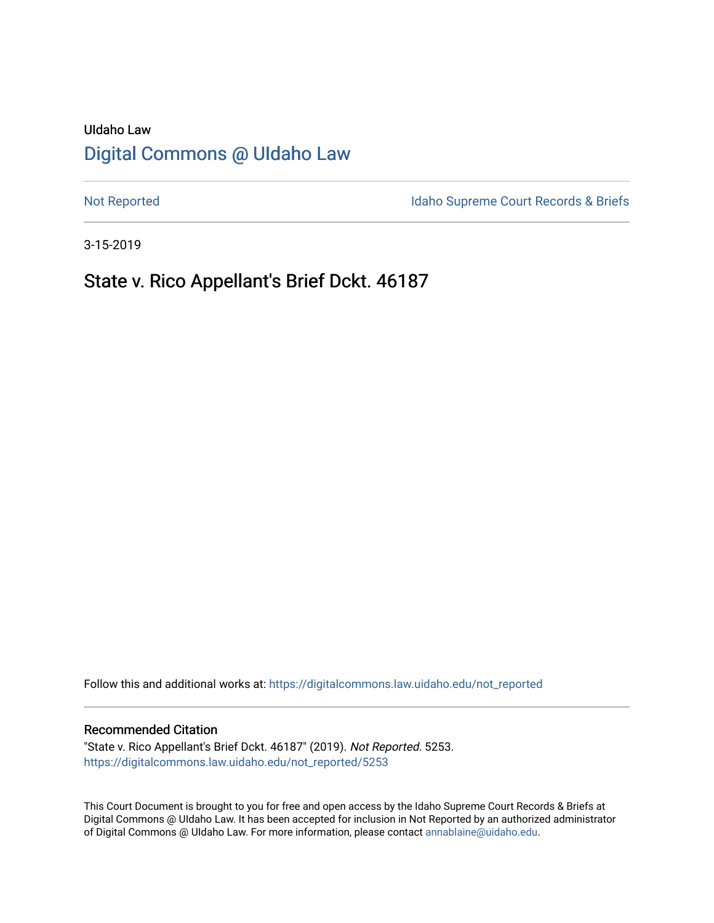# UIdaho Law [Digital Commons @ UIdaho Law](https://digitalcommons.law.uidaho.edu/)

[Not Reported](https://digitalcommons.law.uidaho.edu/not_reported) **Idaho Supreme Court Records & Briefs** 

3-15-2019

# State v. Rico Appellant's Brief Dckt. 46187

Follow this and additional works at: [https://digitalcommons.law.uidaho.edu/not\\_reported](https://digitalcommons.law.uidaho.edu/not_reported?utm_source=digitalcommons.law.uidaho.edu%2Fnot_reported%2F5253&utm_medium=PDF&utm_campaign=PDFCoverPages) 

### Recommended Citation

"State v. Rico Appellant's Brief Dckt. 46187" (2019). Not Reported. 5253. [https://digitalcommons.law.uidaho.edu/not\\_reported/5253](https://digitalcommons.law.uidaho.edu/not_reported/5253?utm_source=digitalcommons.law.uidaho.edu%2Fnot_reported%2F5253&utm_medium=PDF&utm_campaign=PDFCoverPages)

This Court Document is brought to you for free and open access by the Idaho Supreme Court Records & Briefs at Digital Commons @ UIdaho Law. It has been accepted for inclusion in Not Reported by an authorized administrator of Digital Commons @ UIdaho Law. For more information, please contact [annablaine@uidaho.edu](mailto:annablaine@uidaho.edu).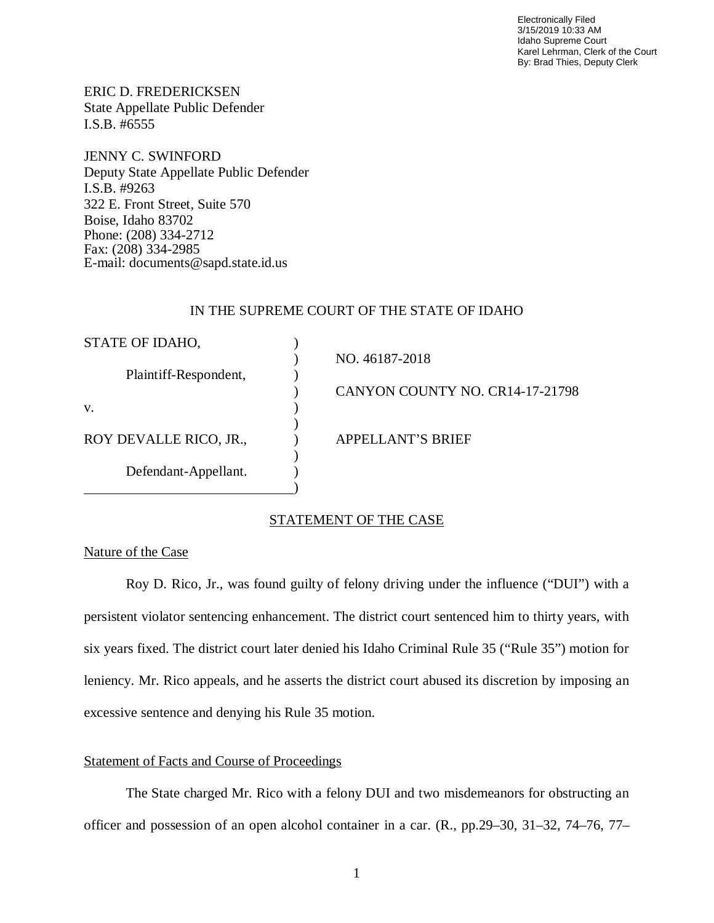Electronically Filed 3/15/2019 10:33 AM Idaho Supreme Court Karel Lehrman, Clerk of the Court By: Brad Thies, Deputy Clerk

ERIC D. FREDERICKSEN State Appellate Public Defender I.S.B. #6555

JENNY C. SWINFORD Deputy State Appellate Public Defender I.S.B. #9263 322 E. Front Street, Suite 570 Boise, Idaho 83702 Phone: (208) 334-2712 Fax: (208) 334-2985 E-mail: documents@sapd.state.id.us

## IN THE SUPREME COURT OF THE STATE OF IDAHO

| STATE OF IDAHO,        |                                 |
|------------------------|---------------------------------|
|                        | NO. 46187-2018                  |
| Plaintiff-Respondent,  |                                 |
|                        | CANYON COUNTY NO. CR14-17-21798 |
| V.                     |                                 |
|                        |                                 |
| ROY DEVALLE RICO, JR., | APPELLANT'S BRIEF               |
|                        |                                 |
| Defendant-Appellant.   |                                 |
|                        |                                 |

## STATEMENT OF THE CASE

## Nature of the Case

Roy D. Rico, Jr., was found guilty of felony driving under the influence ("DUI") with a persistent violator sentencing enhancement. The district court sentenced him to thirty years, with six years fixed. The district court later denied his Idaho Criminal Rule 35 ("Rule 35") motion for leniency. Mr. Rico appeals, and he asserts the district court abused its discretion by imposing an excessive sentence and denying his Rule 35 motion.

## Statement of Facts and Course of Proceedings

The State charged Mr. Rico with a felony DUI and two misdemeanors for obstructing an officer and possession of an open alcohol container in a car. (R., pp.29–30, 31–32, 74–76, 77–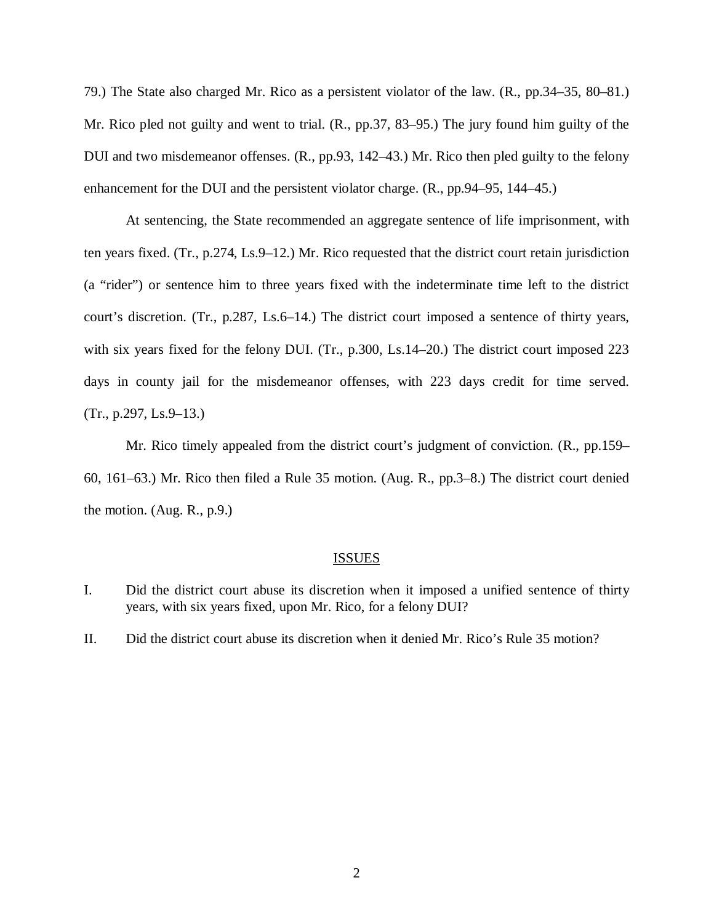79.) The State also charged Mr. Rico as a persistent violator of the law. (R., pp.34–35, 80–81.) Mr. Rico pled not guilty and went to trial. (R., pp.37, 83–95.) The jury found him guilty of the DUI and two misdemeanor offenses. (R., pp.93, 142–43.) Mr. Rico then pled guilty to the felony enhancement for the DUI and the persistent violator charge. (R., pp.94–95, 144–45.)

At sentencing, the State recommended an aggregate sentence of life imprisonment, with ten years fixed. (Tr., p.274, Ls.9–12.) Mr. Rico requested that the district court retain jurisdiction (a "rider") or sentence him to three years fixed with the indeterminate time left to the district court's discretion. (Tr., p.287, Ls.6–14.) The district court imposed a sentence of thirty years, with six years fixed for the felony DUI. (Tr., p.300, Ls.14–20.) The district court imposed 223 days in county jail for the misdemeanor offenses, with 223 days credit for time served.  $(Tr., p.297, Ls.9–13.)$ 

Mr. Rico timely appealed from the district court's judgment of conviction. (R., pp.159– 60, 161–63.) Mr. Rico then filed a Rule 35 motion. (Aug. R., pp.3–8.) The district court denied the motion. (Aug. R., p.9.)

#### ISSUES

I. Did the district court abuse its discretion when it imposed a unified sentence of thirty years, with six years fixed, upon Mr. Rico, for a felony DUI?

II. Did the district court abuse its discretion when it denied Mr. Rico's Rule 35 motion?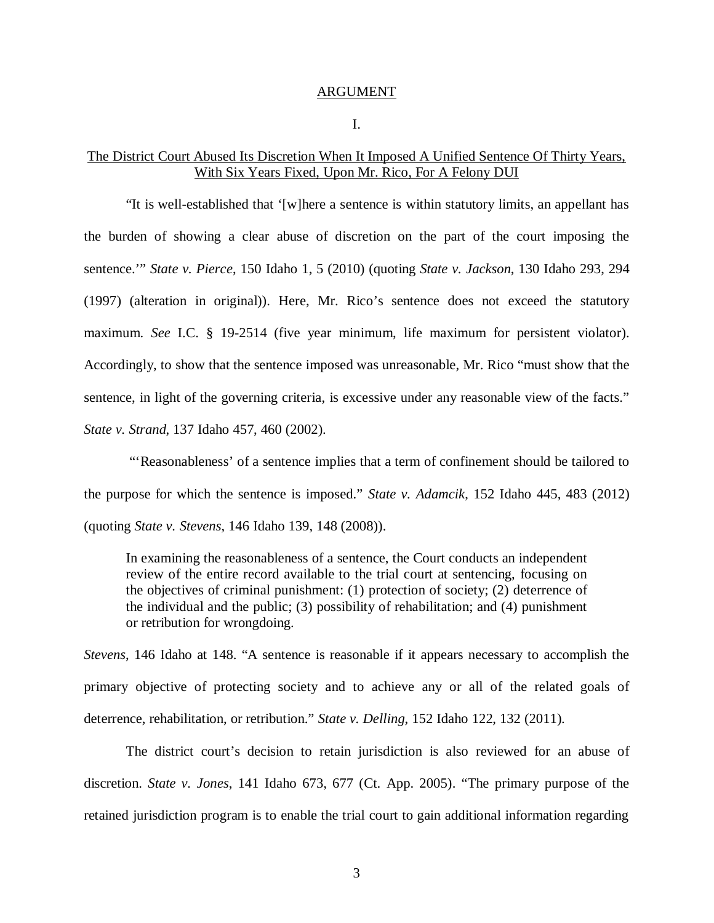#### ARGUMENT

I.

## The District Court Abused Its Discretion When It Imposed A Unified Sentence Of Thirty Years, With Six Years Fixed, Upon Mr. Rico, For A Felony DUI

"It is well-established that '[w]here a sentence is within statutory limits, an appellant has the burden of showing a clear abuse of discretion on the part of the court imposing the sentence.'" *State v. Pierce*, 150 Idaho 1, 5 (2010) (quoting *State v. Jackson*, 130 Idaho 293, 294 (1997) (alteration in original)). Here, Mr. Rico's sentence does not exceed the statutory maximum. *See* I.C. § 19-2514 (five year minimum, life maximum for persistent violator). Accordingly, to show that the sentence imposed was unreasonable, Mr. Rico "must show that the sentence, in light of the governing criteria, is excessive under any reasonable view of the facts." *State v. Strand*, 137 Idaho 457, 460 (2002).

 "'Reasonableness' of a sentence implies that a term of confinement should be tailored to the purpose for which the sentence is imposed." *State v. Adamcik*, 152 Idaho 445, 483 (2012) (quoting *State v. Stevens*, 146 Idaho 139, 148 (2008)).

In examining the reasonableness of a sentence, the Court conducts an independent review of the entire record available to the trial court at sentencing, focusing on the objectives of criminal punishment: (1) protection of society; (2) deterrence of the individual and the public; (3) possibility of rehabilitation; and (4) punishment or retribution for wrongdoing.

*Stevens*, 146 Idaho at 148. "A sentence is reasonable if it appears necessary to accomplish the primary objective of protecting society and to achieve any or all of the related goals of deterrence, rehabilitation, or retribution." *State v. Delling*, 152 Idaho 122, 132 (2011).

The district court's decision to retain jurisdiction is also reviewed for an abuse of discretion. *State v. Jones*, 141 Idaho 673, 677 (Ct. App. 2005). "The primary purpose of the retained jurisdiction program is to enable the trial court to gain additional information regarding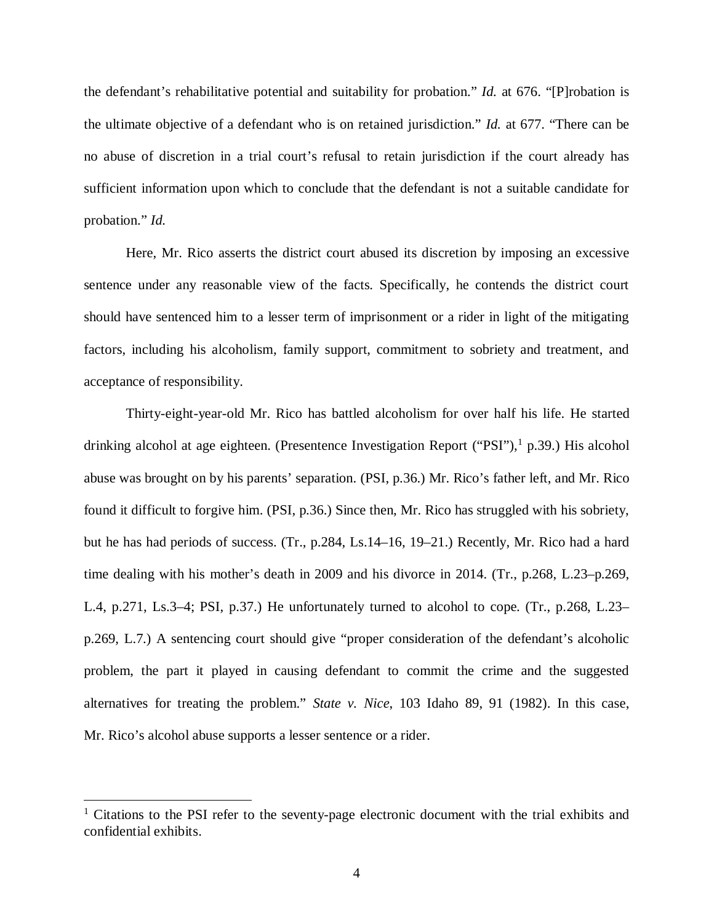the defendant's rehabilitative potential and suitability for probation." *Id.* at 676. "[P]robation is the ultimate objective of a defendant who is on retained jurisdiction." *Id.* at 677. "There can be no abuse of discretion in a trial court's refusal to retain jurisdiction if the court already has sufficient information upon which to conclude that the defendant is not a suitable candidate for probation." *Id.*

Here, Mr. Rico asserts the district court abused its discretion by imposing an excessive sentence under any reasonable view of the facts. Specifically, he contends the district court should have sentenced him to a lesser term of imprisonment or a rider in light of the mitigating factors, including his alcoholism, family support, commitment to sobriety and treatment, and acceptance of responsibility.

Thirty-eight-year-old Mr. Rico has battled alcoholism for over half his life. He started drinking alcohol at age eighteen. (Presentence Investigation Report ("PSI"),<sup>1</sup> [p](#page-4-0).39.) His alcohol abuse was brought on by his parents' separation. (PSI, p.36.) Mr. Rico's father left, and Mr. Rico found it difficult to forgive him. (PSI, p.36.) Since then, Mr. Rico has struggled with his sobriety, but he has had periods of success. (Tr., p.284, Ls.14–16, 19–21.) Recently, Mr. Rico had a hard time dealing with his mother's death in 2009 and his divorce in 2014. (Tr., p.268, L.23–p.269, L.4, p.271, Ls.3–4; PSI, p.37.) He unfortunately turned to alcohol to cope. (Tr., p.268, L.23– p.269, L.7.) A sentencing court should give "proper consideration of the defendant's alcoholic problem, the part it played in causing defendant to commit the crime and the suggested alternatives for treating the problem." *State v. Nice*, 103 Idaho 89, 91 (1982). In this case, Mr. Rico's alcohol abuse supports a lesser sentence or a rider.

<span id="page-4-0"></span><sup>&</sup>lt;sup>1</sup> Citations to the PSI refer to the seventy-page electronic document with the trial exhibits and confidential exhibits.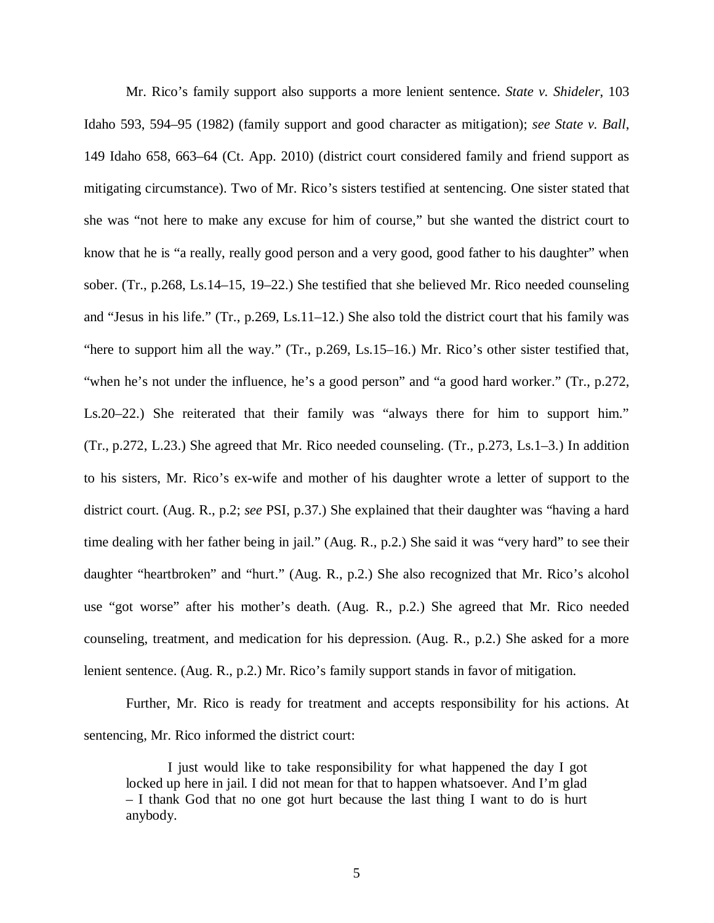Mr. Rico's family support also supports a more lenient sentence. *State v. Shideler*, 103 Idaho 593, 594–95 (1982) (family support and good character as mitigation); *see State v. Ball*, 149 Idaho 658, 663–64 (Ct. App. 2010) (district court considered family and friend support as mitigating circumstance). Two of Mr. Rico's sisters testified at sentencing. One sister stated that she was "not here to make any excuse for him of course," but she wanted the district court to know that he is "a really, really good person and a very good, good father to his daughter" when sober. (Tr., p.268, Ls.14–15, 19–22.) She testified that she believed Mr. Rico needed counseling and "Jesus in his life." (Tr., p.269, Ls.11–12.) She also told the district court that his family was "here to support him all the way." (Tr., p.269, Ls.15–16.) Mr. Rico's other sister testified that, "when he's not under the influence, he's a good person" and "a good hard worker." (Tr., p.272, Ls.20–22.) She reiterated that their family was "always there for him to support him." (Tr., p.272, L.23.) She agreed that Mr. Rico needed counseling. (Tr., p.273, Ls.1–3.) In addition to his sisters, Mr. Rico's ex-wife and mother of his daughter wrote a letter of support to the district court. (Aug. R., p.2; *see* PSI, p.37.) She explained that their daughter was "having a hard time dealing with her father being in jail." (Aug. R., p.2.) She said it was "very hard" to see their daughter "heartbroken" and "hurt." (Aug. R., p.2.) She also recognized that Mr. Rico's alcohol use "got worse" after his mother's death. (Aug. R., p.2.) She agreed that Mr. Rico needed counseling, treatment, and medication for his depression. (Aug. R., p.2.) She asked for a more lenient sentence. (Aug. R., p.2.) Mr. Rico's family support stands in favor of mitigation.

Further, Mr. Rico is ready for treatment and accepts responsibility for his actions. At sentencing, Mr. Rico informed the district court:

I just would like to take responsibility for what happened the day I got locked up here in jail. I did not mean for that to happen whatsoever. And I'm glad – I thank God that no one got hurt because the last thing I want to do is hurt anybody.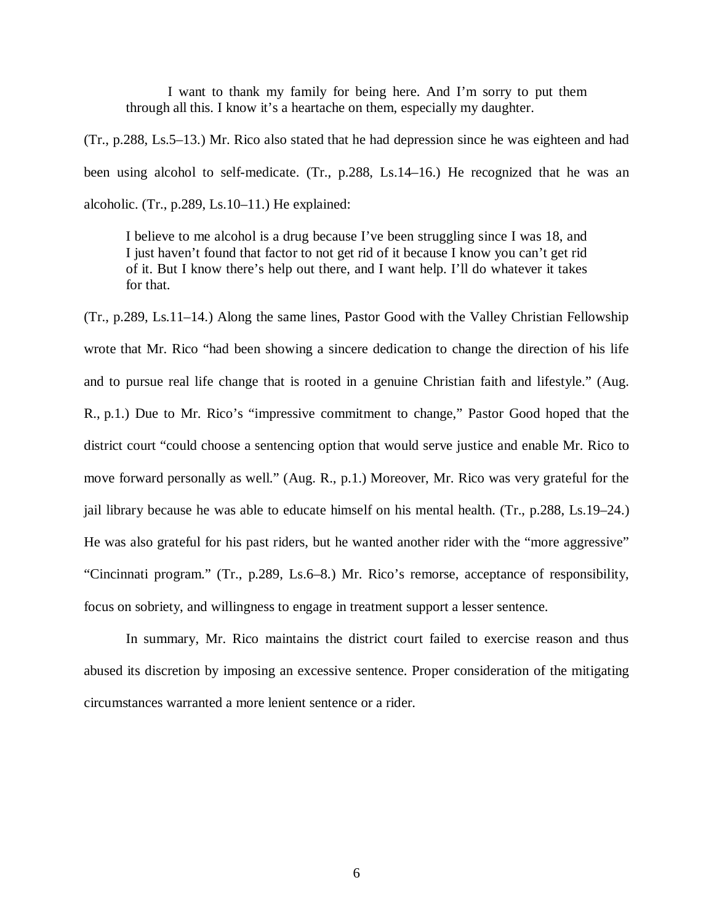I want to thank my family for being here. And I'm sorry to put them through all this. I know it's a heartache on them, especially my daughter.

(Tr., p.288, Ls.5–13.) Mr. Rico also stated that he had depression since he was eighteen and had been using alcohol to self-medicate. (Tr., p.288, Ls.14–16.) He recognized that he was an alcoholic. (Tr., p.289, Ls.10–11.) He explained:

I believe to me alcohol is a drug because I've been struggling since I was 18, and I just haven't found that factor to not get rid of it because I know you can't get rid of it. But I know there's help out there, and I want help. I'll do whatever it takes for that.

(Tr., p.289, Ls.11–14.) Along the same lines, Pastor Good with the Valley Christian Fellowship wrote that Mr. Rico "had been showing a sincere dedication to change the direction of his life and to pursue real life change that is rooted in a genuine Christian faith and lifestyle." (Aug. R., p.1.) Due to Mr. Rico's "impressive commitment to change," Pastor Good hoped that the district court "could choose a sentencing option that would serve justice and enable Mr. Rico to move forward personally as well." (Aug. R., p.1.) Moreover, Mr. Rico was very grateful for the jail library because he was able to educate himself on his mental health. (Tr., p.288, Ls.19–24.) He was also grateful for his past riders, but he wanted another rider with the "more aggressive" "Cincinnati program." (Tr., p.289, Ls.6–8.) Mr. Rico's remorse, acceptance of responsibility, focus on sobriety, and willingness to engage in treatment support a lesser sentence.

In summary, Mr. Rico maintains the district court failed to exercise reason and thus abused its discretion by imposing an excessive sentence. Proper consideration of the mitigating circumstances warranted a more lenient sentence or a rider.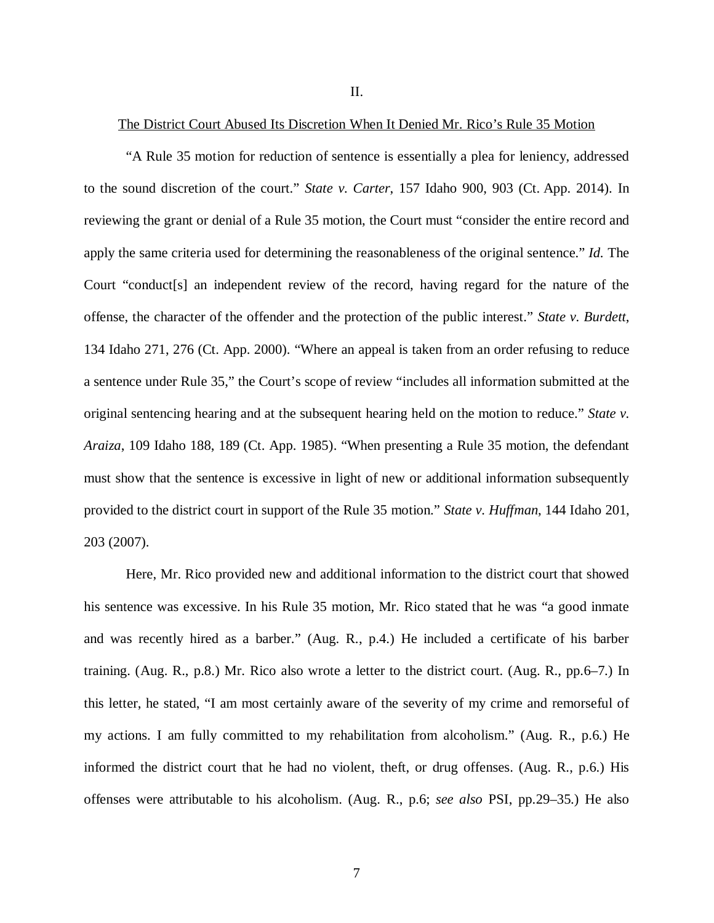II.

### The District Court Abused Its Discretion When It Denied Mr. Rico's Rule 35 Motion

"A Rule 35 motion for reduction of sentence is essentially a plea for leniency, addressed to the sound discretion of the court." *State v. Carter*, 157 Idaho 900, 903 (Ct. App. 2014). In reviewing the grant or denial of a Rule 35 motion, the Court must "consider the entire record and apply the same criteria used for determining the reasonableness of the original sentence." *Id.* The Court "conduct[s] an independent review of the record, having regard for the nature of the offense, the character of the offender and the protection of the public interest." *State v. Burdett*, 134 Idaho 271, 276 (Ct. App. 2000). "Where an appeal is taken from an order refusing to reduce a sentence under Rule 35," the Court's scope of review "includes all information submitted at the original sentencing hearing and at the subsequent hearing held on the motion to reduce." *State v. Araiza*, 109 Idaho 188, 189 (Ct. App. 1985). "When presenting a Rule 35 motion, the defendant must show that the sentence is excessive in light of new or additional information subsequently provided to the district court in support of the Rule 35 motion." *State v. Huffman*, 144 Idaho 201, 203 (2007).

Here, Mr. Rico provided new and additional information to the district court that showed his sentence was excessive. In his Rule 35 motion, Mr. Rico stated that he was "a good inmate and was recently hired as a barber." (Aug. R., p.4.) He included a certificate of his barber training. (Aug. R., p.8.) Mr. Rico also wrote a letter to the district court. (Aug. R., pp.6–7.) In this letter, he stated, "I am most certainly aware of the severity of my crime and remorseful of my actions. I am fully committed to my rehabilitation from alcoholism." (Aug. R., p.6.) He informed the district court that he had no violent, theft, or drug offenses. (Aug. R., p.6.) His offenses were attributable to his alcoholism. (Aug. R., p.6; *see also* PSI, pp.29–35.) He also